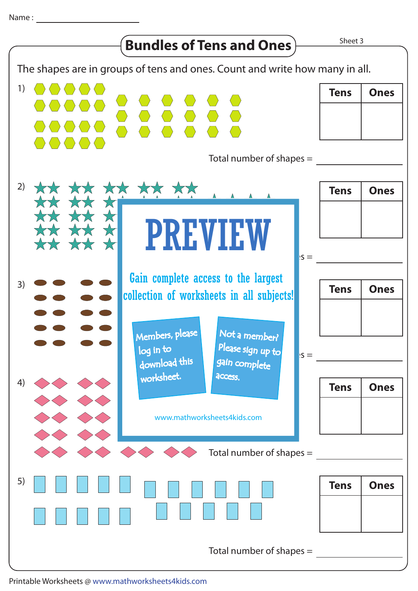